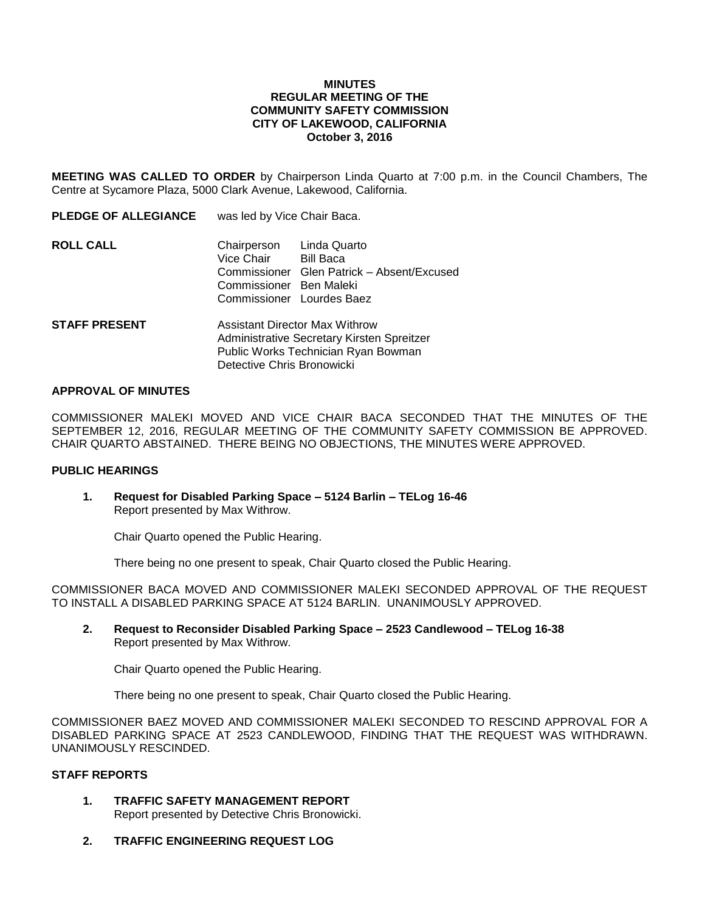#### **MINUTES REGULAR MEETING OF THE COMMUNITY SAFETY COMMISSION CITY OF LAKEWOOD, CALIFORNIA October 3, 2016**

**MEETING WAS CALLED TO ORDER** by Chairperson Linda Quarto at 7:00 p.m. in the Council Chambers, The Centre at Sycamore Plaza, 5000 Clark Avenue, Lakewood, California.

| <b>PLEDGE OF ALLEGIANCE</b> | was led by Vice Chair Baca.                                                         |                                                                         |
|-----------------------------|-------------------------------------------------------------------------------------|-------------------------------------------------------------------------|
| ROLL CALL                   | Chairperson Linda Quarto<br>Vice Chair Bill Baca<br>Commissioner Ben Maleki         | Commissioner Glen Patrick - Absent/Excused<br>Commissioner Lourdes Baez |
| <b>STAFF PRESENT</b>        | <b>Assistant Director Max Withrow</b><br>Administrative Secretary Kirsten Spreitzer |                                                                         |

#### **APPROVAL OF MINUTES**

COMMISSIONER MALEKI MOVED AND VICE CHAIR BACA SECONDED THAT THE MINUTES OF THE SEPTEMBER 12, 2016, REGULAR MEETING OF THE COMMUNITY SAFETY COMMISSION BE APPROVED. CHAIR QUARTO ABSTAINED. THERE BEING NO OBJECTIONS, THE MINUTES WERE APPROVED.

Public Works Technician Ryan Bowman

Detective Chris Bronowicki

#### **PUBLIC HEARINGS**

**1. Request for Disabled Parking Space – 5124 Barlin – TELog 16-46** Report presented by Max Withrow.

Chair Quarto opened the Public Hearing.

There being no one present to speak, Chair Quarto closed the Public Hearing.

COMMISSIONER BACA MOVED AND COMMISSIONER MALEKI SECONDED APPROVAL OF THE REQUEST TO INSTALL A DISABLED PARKING SPACE AT 5124 BARLIN. UNANIMOUSLY APPROVED.

**2. Request to Reconsider Disabled Parking Space – 2523 Candlewood – TELog 16-38** Report presented by Max Withrow.

Chair Quarto opened the Public Hearing.

There being no one present to speak, Chair Quarto closed the Public Hearing.

COMMISSIONER BAEZ MOVED AND COMMISSIONER MALEKI SECONDED TO RESCIND APPROVAL FOR A DISABLED PARKING SPACE AT 2523 CANDLEWOOD, FINDING THAT THE REQUEST WAS WITHDRAWN. UNANIMOUSLY RESCINDED.

#### **STAFF REPORTS**

- **1. TRAFFIC SAFETY MANAGEMENT REPORT** Report presented by Detective Chris Bronowicki.
- **2. TRAFFIC ENGINEERING REQUEST LOG**